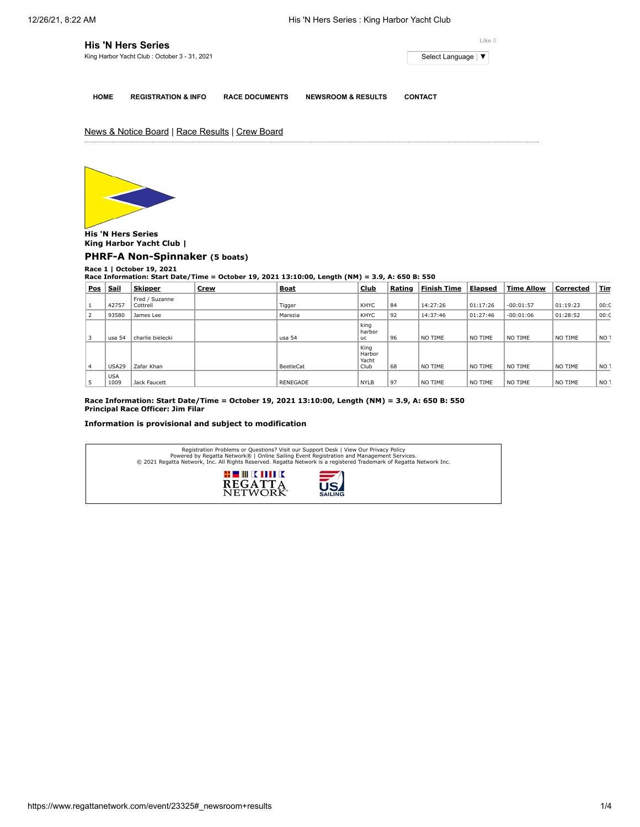| <b>His 'N Hers Series</b>                    |                     |  |  |
|----------------------------------------------|---------------------|--|--|
| King Harbor Yacht Club: October 3 - 31, 2021 | Select Language   ▼ |  |  |
|                                              |                     |  |  |

**HOME REGISTRATION & INFO RACE DOCUMENTS NEWSROOM & RESULTS CONTACT**

News & Notice Board | Race Results | Crew Board



**His 'N Hers Series King Harbor Yacht Club | [PHRF-A Non-Spinnaker](https://www.regattanetwork.com/clubmgmt/applet_race_scores.php?regatta_id=23325&race_num=1&fleet=PHRF-A+Non-Spinnaker&show_crew=1) (5 boats)**

**Race 1 | October 19, 2021 Race Information: Start Date/Time = October 19, 2021 13:10:00, Length (NM) = 3.9, A: 650 B: 550**

| Pos            | Sail               | <b>Skipper</b>             | <b>Crew</b> | <b>Boat</b>     | <b>Club</b>                     | Rating | <b>Finish Time</b> | Elapsed  | <b>Time Allow</b> | Corrected | <u>Tin</u>      |
|----------------|--------------------|----------------------------|-------------|-----------------|---------------------------------|--------|--------------------|----------|-------------------|-----------|-----------------|
|                | 42757              | Fred / Suzanne<br>Cottrell |             | Tigger          | KHYC                            | 84     | 14:27:26           | 01:17:26 | $-00:01:57$       | 01:19:23  | 00:0            |
| $\overline{2}$ | 93580              | James Lee                  |             | Marezia         | <b>KHYC</b>                     | 92     | 14:37:46           | 01:27:46 | $-00:01:06$       | 01:28:52  | 00:0            |
|                | usa 54             | charlie bielecki           |             | usa 54          | king<br>harbor<br><b>uc</b>     | 96     | NO TIME            | NO TIME  | NO TIME           | NO TIME   | NO <sub>1</sub> |
| 4              | <b>USA29</b>       | Zafar Khan                 |             | BeetleCat       | King<br>Harbor<br>Yacht<br>Club | 68     | NO TIME            | NO TIME  | NO TIME           | NO TIME   | NO <sub>1</sub> |
| 5              | <b>USA</b><br>1009 | Jack Faucett               |             | <b>RENEGADE</b> | <b>NYLB</b>                     | 97     | NO TIME            | NO TIME  | NO TIME           | NO TIME   | NO <sub>1</sub> |

**Race Information: Start Date/Time = October 19, 2021 13:10:00, Length (NM) = 3.9, A: 650 B: 550 Principal Race Officer: Jim Filar**

## **Information is provisional and subject to modification**

| Registration Problems or Questions? Visit our Support Desk   View Our Privacy Policy<br>Powered by Regatta Network®   Online Sailing Event Registration and Management Services.<br>© 2021 Regatta Network, Inc. All Rights Reserved. Regatta Network is a registered Trademark of Regatta Network Inc. |
|---------------------------------------------------------------------------------------------------------------------------------------------------------------------------------------------------------------------------------------------------------------------------------------------------------|
| # III K MILK<br><b>721</b><br><b>REGATTA</b><br>NETWOR-<br><b>SAILING</b>                                                                                                                                                                                                                               |